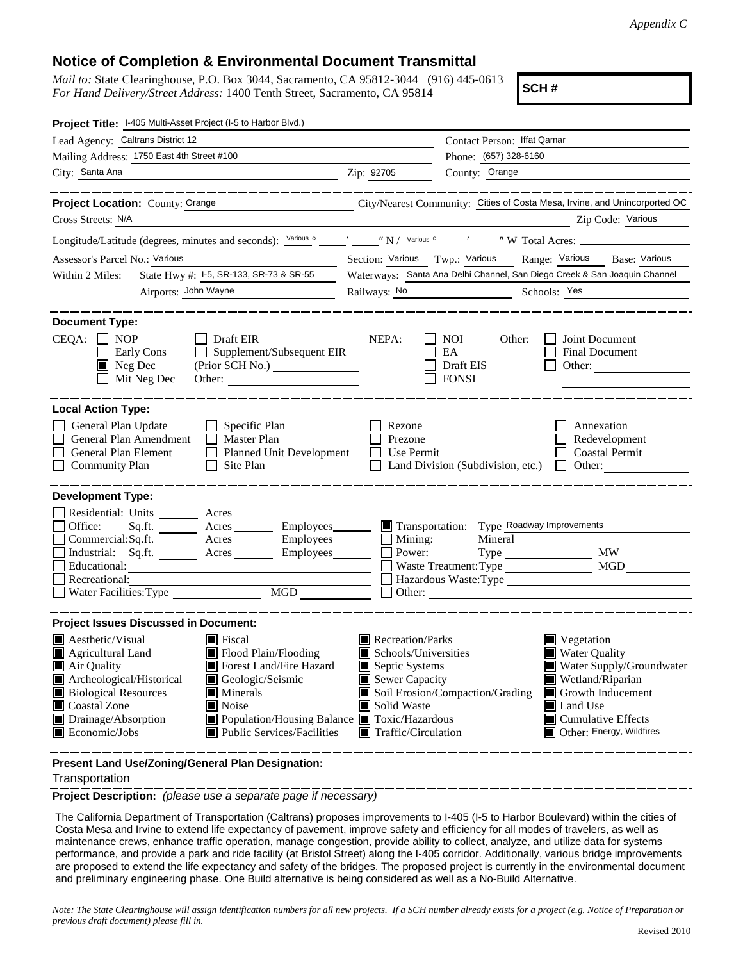## **Notice of Completion & Environmental Document Transmittal**

*Mail to:* State Clearinghouse, P.O. Box 3044, Sacramento, CA 95812-3044 (916) 445-0613 *For Hand Delivery/Street Address:* 1400 Tenth Street, Sacramento, CA 95814

**SCH #**

| Project Title: 1-405 Multi-Asset Project (I-5 to Harbor Blvd.)                                                                                                                                                                                                                                                                                                           |                                                                                                                                                                                                                                           |  |  |
|--------------------------------------------------------------------------------------------------------------------------------------------------------------------------------------------------------------------------------------------------------------------------------------------------------------------------------------------------------------------------|-------------------------------------------------------------------------------------------------------------------------------------------------------------------------------------------------------------------------------------------|--|--|
| Lead Agency: Caltrans District 12                                                                                                                                                                                                                                                                                                                                        | Contact Person: Iffat Qamar                                                                                                                                                                                                               |  |  |
| Mailing Address: 1750 East 4th Street #100                                                                                                                                                                                                                                                                                                                               | Phone: (657) 328-6160                                                                                                                                                                                                                     |  |  |
| City: Santa Ana<br><u> 1989 - Johann Stoff, Amerikaansk politiker († 1908)</u>                                                                                                                                                                                                                                                                                           | County: Orange<br>Zip: 92705                                                                                                                                                                                                              |  |  |
| ---------------<br>Project Location: County: Orange                                                                                                                                                                                                                                                                                                                      | City/Nearest Community: Cities of Costa Mesa, Irvine, and Unincorported OC                                                                                                                                                                |  |  |
| Cross Streets: N/A                                                                                                                                                                                                                                                                                                                                                       | Zip Code: Various                                                                                                                                                                                                                         |  |  |
|                                                                                                                                                                                                                                                                                                                                                                          | Longitude/Latitude (degrees, minutes and seconds): Various ° ________ "N / Various ° ____ "W Total Acres: ____________                                                                                                                    |  |  |
| Assessor's Parcel No.: Various                                                                                                                                                                                                                                                                                                                                           | Section: Various Twp.: Various Range: Various Base: Various                                                                                                                                                                               |  |  |
| State Hwy #: 1-5, SR-133, SR-73 & SR-55<br>Within 2 Miles:                                                                                                                                                                                                                                                                                                               | Waterways: Santa Ana Delhi Channel, San Diego Creek & San Joaquin Channel                                                                                                                                                                 |  |  |
| Airports: John Wayne                                                                                                                                                                                                                                                                                                                                                     | Railways: No 2008<br>Schools: Yes                                                                                                                                                                                                         |  |  |
| <b>Document Type:</b><br>$CEQA: \Box NP$<br>$\Box$ Draft EIR<br>$\Box$ Supplement/Subsequent EIR<br>Early Cons<br>$\blacksquare$ Neg Dec<br>(Prior SCH No.)<br>Mit Neg Dec<br>Other:                                                                                                                                                                                     | NEPA:<br><b>NOI</b><br>Joint Document<br>Other:<br>EA<br><b>Final Document</b><br>Draft EIS<br>Other: $\qquad \qquad$<br><b>FONSI</b>                                                                                                     |  |  |
| <b>Local Action Type:</b>                                                                                                                                                                                                                                                                                                                                                |                                                                                                                                                                                                                                           |  |  |
| General Plan Update<br>$\Box$ Specific Plan<br>General Plan Amendment<br>$\Box$ Master Plan<br>General Plan Element<br>Planned Unit Development<br><b>Community Plan</b><br>Site Plan<br>$\perp$                                                                                                                                                                         | Rezone<br>Annexation<br>Prezone<br>Redevelopment<br>Use Permit<br><b>Coastal Permit</b><br>Land Division (Subdivision, etc.)<br>Other:                                                                                                    |  |  |
| <b>Development Type:</b><br>Residential: Units ________ Acres _______<br>Office:<br>Sq.ft. ________ Acres __________ Employees________<br>Commercial:Sq.ft. ________ Acres _________ Employees ________ $\Box$ Mining:<br>Acres _________ Employees________<br>Industrial: Sq.ft.<br>Educational:<br>Recreational:<br>$\underline{\text{MGD}}$<br>Water Facilities: Type | Transportation: Type Roadway Improvements<br>Mineral<br><b>MW</b><br>Power:<br><b>MGD</b><br>Waste Treatment: Type<br>Hazardous Waste: Type<br>$\Box$ Other:                                                                              |  |  |
|                                                                                                                                                                                                                                                                                                                                                                          |                                                                                                                                                                                                                                           |  |  |
| <b>Project Issues Discussed in Document:</b><br><b>A</b> esthetic/Visual<br>■ Fiscal<br>Flood Plain/Flooding<br>Agricultural Land<br>Forest Land/Fire Hazard<br>Air Quality<br>Archeological/Historical<br>Geologic/Seismic<br><b>Biological Resources</b><br>Minerals                                                                                                   | $\blacksquare$ Recreation/Parks<br>Vegetation<br>Schools/Universities<br><b>Water Quality</b><br>Septic Systems<br>Water Supply/Groundwater<br>Sewer Capacity<br>Wetland/Riparian<br>Soil Erosion/Compaction/Grading<br>Growth Inducement |  |  |
| Noise<br>$\Box$ Coastal Zone<br>Population/Housing Balance Toxic/Hazardous<br>Drainage/Absorption<br>Public Services/Facilities<br>$\blacksquare$ Economic/Jobs                                                                                                                                                                                                          | Solid Waste<br>Land Use<br>ш<br>Cumulative Effects<br>Other: Energy, Wildfires<br>$\blacksquare$ Traffic/Circulation                                                                                                                      |  |  |

**Present Land Use/Zoning/General Plan Designation:**

Transportation

**Project Description:** *(please use a separate page if necessary)*

 The California Department of Transportation (Caltrans) proposes improvements to I-405 (I-5 to Harbor Boulevard) within the cities of Costa Mesa and Irvine to extend life expectancy of pavement, improve safety and efficiency for all modes of travelers, as well as maintenance crews, enhance traffic operation, manage congestion, provide ability to collect, analyze, and utilize data for systems performance, and provide a park and ride facility (at Bristol Street) along the I-405 corridor. Additionally, various bridge improvements are proposed to extend the life expectancy and safety of the bridges. The proposed project is currently in the environmental document and preliminary engineering phase. One Build alternative is being considered as well as a No-Build Alternative.

*Note: The State Clearinghouse will assign identification numbers for all new projects. If a SCH number already exists for a project (e.g. Notice of Preparation or previous draft document) please fill in.*